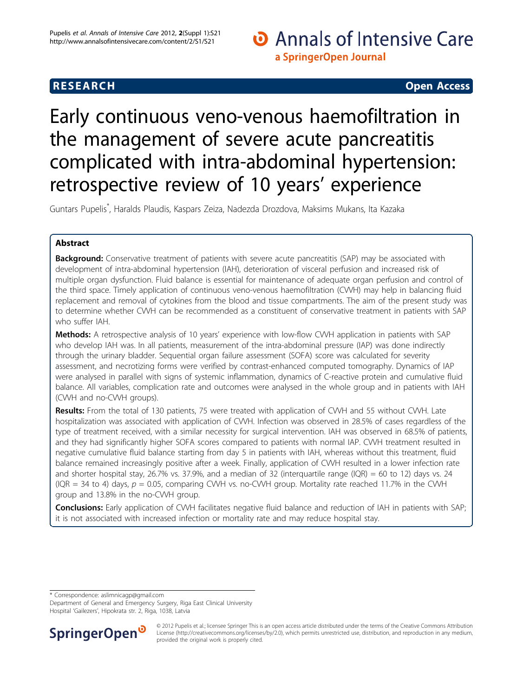# O Annals of Intensive Care a SpringerOpen Journal

## **RESEARCH CHRISTIAN CONSUMING CONTRACT CONSUMING CONSUMING CONSUMING CONSUMING CONSUMING CONSUMING CONSUMING CO**

# Early continuous veno-venous haemofiltration in the management of severe acute pancreatitis complicated with intra-abdominal hypertension: retrospective review of 10 years' experience

Guntars Pupelis\* , Haralds Plaudis, Kaspars Zeiza, Nadezda Drozdova, Maksims Mukans, Ita Kazaka

#### Abstract

**Background:** Conservative treatment of patients with severe acute pancreatitis (SAP) may be associated with development of intra-abdominal hypertension (IAH), deterioration of visceral perfusion and increased risk of multiple organ dysfunction. Fluid balance is essential for maintenance of adequate organ perfusion and control of the third space. Timely application of continuous veno-venous haemofiltration (CVVH) may help in balancing fluid replacement and removal of cytokines from the blood and tissue compartments. The aim of the present study was to determine whether CVVH can be recommended as a constituent of conservative treatment in patients with SAP who suffer IAH.

Methods: A retrospective analysis of 10 years' experience with low-flow CWH application in patients with SAP who develop IAH was. In all patients, measurement of the intra-abdominal pressure (IAP) was done indirectly through the urinary bladder. Sequential organ failure assessment (SOFA) score was calculated for severity assessment, and necrotizing forms were verified by contrast-enhanced computed tomography. Dynamics of IAP were analysed in parallel with signs of systemic inflammation, dynamics of C-reactive protein and cumulative fluid balance. All variables, complication rate and outcomes were analysed in the whole group and in patients with IAH (CVVH and no-CVVH groups).

Results: From the total of 130 patients, 75 were treated with application of CWH and 55 without CWH. Late hospitalization was associated with application of CVVH. Infection was observed in 28.5% of cases regardless of the type of treatment received, with a similar necessity for surgical intervention. IAH was observed in 68.5% of patients, and they had significantly higher SOFA scores compared to patients with normal IAP. CVVH treatment resulted in negative cumulative fluid balance starting from day 5 in patients with IAH, whereas without this treatment, fluid balance remained increasingly positive after a week. Finally, application of CVVH resulted in a lower infection rate and shorter hospital stay, 26.7% vs. 37.9%, and a median of 32 (interquartile range (IQR) = 60 to 12) days vs. 24 (IQR = 34 to 4) days,  $p = 0.05$ , comparing CWH vs. no-CWH group. Mortality rate reached 11.7% in the CWH group and 13.8% in the no-CVVH group.

Conclusions: Early application of CVVH facilitates negative fluid balance and reduction of IAH in patients with SAP; it is not associated with increased infection or mortality rate and may reduce hospital stay.

\* Correspondence: [aslimnicagp@gmail.com](mailto:aslimnicagp@gmail.com)

Department of General and Emergency Surgery, Riga East Clinical University Hospital 'Gailezers', Hipokrata str. 2, Riga, 1038, Latvia



© 2012 Pupelis et al.; licensee Springer This is an open access article distributed under the terms of the Creative Commons Attribution License [\(http://creativecommons.org/licenses/by/2.0](http://creativecommons.org/licenses/by/2.0)), which permits unrestricted use, distribution, and reproduction in any medium, provided the original work is properly cited.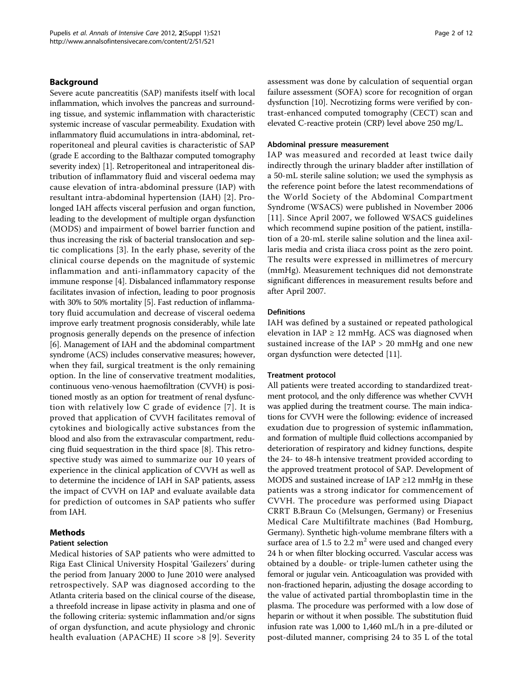#### Background

Severe acute pancreatitis (SAP) manifests itself with local inflammation, which involves the pancreas and surrounding tissue, and systemic inflammation with characteristic systemic increase of vascular permeability. Exudation with inflammatory fluid accumulations in intra-abdominal, retroperitoneal and pleural cavities is characteristic of SAP (grade E according to the Balthazar computed tomography severity index) [\[1](#page-11-0)]. Retroperitoneal and intraperitoneal distribution of inflammatory fluid and visceral oedema may cause elevation of intra-abdominal pressure (IAP) with resultant intra-abdominal hypertension (IAH) [\[2](#page-11-0)]. Prolonged IAH affects visceral perfusion and organ function, leading to the development of multiple organ dysfunction (MODS) and impairment of bowel barrier function and thus increasing the risk of bacterial translocation and septic complications [[3\]](#page-11-0). In the early phase, severity of the clinical course depends on the magnitude of systemic inflammation and anti-inflammatory capacity of the immune response [\[4](#page-11-0)]. Disbalanced inflammatory response facilitates invasion of infection, leading to poor prognosis with 30% to 50% mortality [\[5\]](#page-11-0). Fast reduction of inflammatory fluid accumulation and decrease of visceral oedema improve early treatment prognosis considerably, while late prognosis generally depends on the presence of infection [[6\]](#page-11-0). Management of IAH and the abdominal compartment syndrome (ACS) includes conservative measures; however, when they fail, surgical treatment is the only remaining option. In the line of conservative treatment modalities, continuous veno-venous haemofiltration (CVVH) is positioned mostly as an option for treatment of renal dysfunction with relatively low C grade of evidence [[7\]](#page-11-0). It is proved that application of CVVH facilitates removal of cytokines and biologically active substances from the blood and also from the extravascular compartment, reducing fluid sequestration in the third space [[8\]](#page-11-0). This retrospective study was aimed to summarize our 10 years of experience in the clinical application of CVVH as well as to determine the incidence of IAH in SAP patients, assess the impact of CVVH on IAP and evaluate available data for prediction of outcomes in SAP patients who suffer from IAH.

#### Methods

#### Patient selection

Medical histories of SAP patients who were admitted to Riga East Clinical University Hospital 'Gailezers' during the period from January 2000 to June 2010 were analysed retrospectively. SAP was diagnosed according to the Atlanta criteria based on the clinical course of the disease, a threefold increase in lipase activity in plasma and one of the following criteria: systemic inflammation and/or signs of organ dysfunction, and acute physiology and chronic health evaluation (APACHE) II score >8 [[9\]](#page-11-0). Severity assessment was done by calculation of sequential organ failure assessment (SOFA) score for recognition of organ dysfunction [\[10\]](#page-11-0). Necrotizing forms were verified by contrast-enhanced computed tomography (CECT) scan and elevated C-reactive protein (CRP) level above 250 mg/L.

#### Abdominal pressure measurement

IAP was measured and recorded at least twice daily indirectly through the urinary bladder after instillation of a 50-mL sterile saline solution; we used the symphysis as the reference point before the latest recommendations of the World Society of the Abdominal Compartment Syndrome (WSACS) were published in November 2006 [[11](#page-11-0)]. Since April 2007, we followed WSACS guidelines which recommend supine position of the patient, instillation of a 20-mL sterile saline solution and the linea axillaris media and crista iliaca cross point as the zero point. The results were expressed in millimetres of mercury (mmHg). Measurement techniques did not demonstrate significant differences in measurement results before and after April 2007.

#### **Definitions**

IAH was defined by a sustained or repeated pathological elevation in  $IAP \geq 12$  mmHg. ACS was diagnosed when sustained increase of the IAP > 20 mmHg and one new organ dysfunction were detected [[11\]](#page-11-0).

#### Treatment protocol

All patients were treated according to standardized treatment protocol, and the only difference was whether CVVH was applied during the treatment course. The main indications for CVVH were the following: evidence of increased exudation due to progression of systemic inflammation, and formation of multiple fluid collections accompanied by deterioration of respiratory and kidney functions, despite the 24- to 48-h intensive treatment provided according to the approved treatment protocol of SAP. Development of MODS and sustained increase of IAP ≥12 mmHg in these patients was a strong indicator for commencement of CVVH. The procedure was performed using Diapact CRRT B.Braun Co (Melsungen, Germany) or Fresenius Medical Care Multifiltrate machines (Bad Homburg, Germany). Synthetic high-volume membrane filters with a surface area of 1.5 to 2.2  $m<sup>2</sup>$  were used and changed every 24 h or when filter blocking occurred. Vascular access was obtained by a double- or triple-lumen catheter using the femoral or jugular vein. Anticoagulation was provided with non-fractioned heparin, adjusting the dosage according to the value of activated partial thromboplastin time in the plasma. The procedure was performed with a low dose of heparin or without it when possible. The substitution fluid infusion rate was 1,000 to 1,460 mL/h in a pre-diluted or post-diluted manner, comprising 24 to 35 L of the total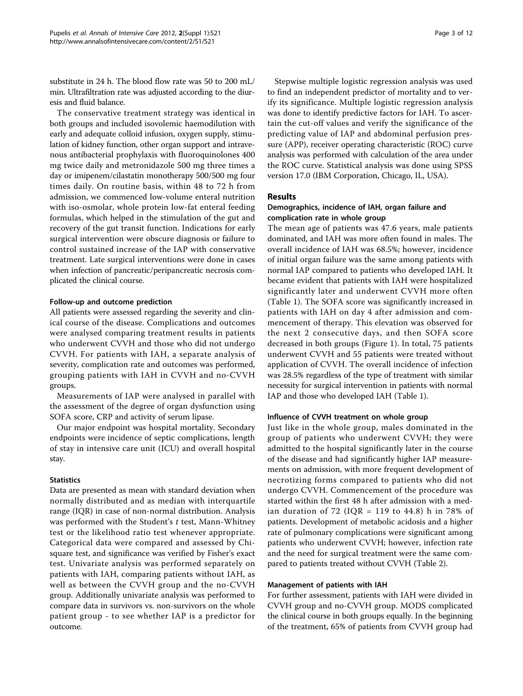substitute in 24 h. The blood flow rate was 50 to 200 mL/ min. Ultrafiltration rate was adjusted according to the diuresis and fluid balance.

The conservative treatment strategy was identical in both groups and included isovolemic haemodilution with early and adequate colloid infusion, oxygen supply, stimulation of kidney function, other organ support and intravenous antibacterial prophylaxis with fluoroquinolones 400 mg twice daily and metronidazole 500 mg three times a day or imipenem/cilastatin monotherapy 500/500 mg four times daily. On routine basis, within 48 to 72 h from admission, we commenced low-volume enteral nutrition with iso-osmolar, whole protein low-fat enteral feeding formulas, which helped in the stimulation of the gut and recovery of the gut transit function. Indications for early surgical intervention were obscure diagnosis or failure to control sustained increase of the IAP with conservative treatment. Late surgical interventions were done in cases when infection of pancreatic/peripancreatic necrosis complicated the clinical course.

#### Follow-up and outcome prediction

All patients were assessed regarding the severity and clinical course of the disease. Complications and outcomes were analysed comparing treatment results in patients who underwent CVVH and those who did not undergo CVVH. For patients with IAH, a separate analysis of severity, complication rate and outcomes was performed, grouping patients with IAH in CVVH and no-CVVH groups.

Measurements of IAP were analysed in parallel with the assessment of the degree of organ dysfunction using SOFA score, CRP and activity of serum lipase.

Our major endpoint was hospital mortality. Secondary endpoints were incidence of septic complications, length of stay in intensive care unit (ICU) and overall hospital stay.

#### **Statistics**

Data are presented as mean with standard deviation when normally distributed and as median with interquartile range (IQR) in case of non-normal distribution. Analysis was performed with the Student's  $t$  test, Mann-Whitney test or the likelihood ratio test whenever appropriate. Categorical data were compared and assessed by Chisquare test, and significance was verified by Fisher's exact test. Univariate analysis was performed separately on patients with IAH, comparing patients without IAH, as well as between the CVVH group and the no-CVVH group. Additionally univariate analysis was performed to compare data in survivors vs. non-survivors on the whole patient group - to see whether IAP is a predictor for outcome.

Stepwise multiple logistic regression analysis was used to find an independent predictor of mortality and to verify its significance. Multiple logistic regression analysis was done to identify predictive factors for IAH. To ascertain the cut-off values and verify the significance of the predicting value of IAP and abdominal perfusion pressure (APP), receiver operating characteristic (ROC) curve analysis was performed with calculation of the area under the ROC curve. Statistical analysis was done using SPSS version 17.0 (IBM Corporation, Chicago, IL, USA).

#### Results

#### Demographics, incidence of IAH, organ failure and complication rate in whole group

The mean age of patients was 47.6 years, male patients dominated, and IAH was more often found in males. The overall incidence of IAH was 68.5%; however, incidence of initial organ failure was the same among patients with normal IAP compared to patients who developed IAH. It became evident that patients with IAH were hospitalized significantly later and underwent CVVH more often (Table [1](#page-3-0)). The SOFA score was significantly increased in patients with IAH on day 4 after admission and commencement of therapy. This elevation was observed for the next 2 consecutive days, and then SOFA score decreased in both groups (Figure [1](#page-4-0)). In total, 75 patients underwent CVVH and 55 patients were treated without application of CVVH. The overall incidence of infection was 28.5% regardless of the type of treatment with similar necessity for surgical intervention in patients with normal IAP and those who developed IAH (Table [1\)](#page-3-0).

#### Influence of CVVH treatment on whole group

Just like in the whole group, males dominated in the group of patients who underwent CVVH; they were admitted to the hospital significantly later in the course of the disease and had significantly higher IAP measurements on admission, with more frequent development of necrotizing forms compared to patients who did not undergo CVVH. Commencement of the procedure was started within the first 48 h after admission with a median duration of 72 (IQR = 119 to 44.8) h in 78% of patients. Development of metabolic acidosis and a higher rate of pulmonary complications were significant among patients who underwent CVVH; however, infection rate and the need for surgical treatment were the same compared to patients treated without CVVH (Table [2\)](#page-5-0).

#### Management of patients with IAH

For further assessment, patients with IAH were divided in CVVH group and no-CVVH group. MODS complicated the clinical course in both groups equally. In the beginning of the treatment, 65% of patients from CVVH group had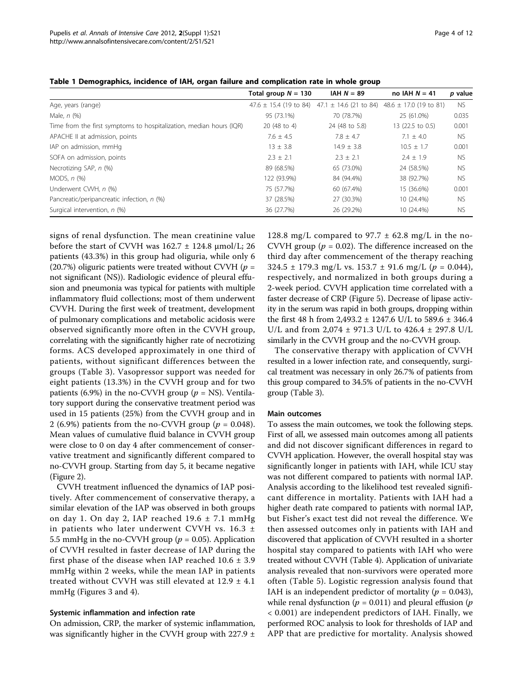|                                                                     | Total group $N = 130$      | $IAH N = 89$               | no IAH $N = 41$            | p value   |
|---------------------------------------------------------------------|----------------------------|----------------------------|----------------------------|-----------|
| Age, years (range)                                                  | $47.6 \pm 15.4$ (19 to 84) | $47.1 \pm 14.6$ (21 to 84) | $48.6 \pm 17.0$ (19 to 81) | NS.       |
| Male, $n$ $(\%)$                                                    | 95 (73.1%)                 | 70 (78.7%)                 | 25 (61.0%)                 | 0.035     |
| Time from the first symptoms to hospitalization, median hours (IQR) | 20 (48 to 4)               | 24 (48 to 5.8)             | 13 (22.5 to 0.5)           | 0.001     |
| APACHE II at admission, points                                      | $7.6 \pm 4.5$              | $7.8 \pm 4.7$              | 7.1 $\pm$ 4.0              | NS.       |
| IAP on admission, mmHq                                              | $13 \pm 3.8$               | $14.9 \pm 3.8$             | $10.5 \pm 1.7$             | 0.001     |
| SOFA on admission, points                                           | $2.3 \pm 2.1$              | $2.3 \pm 2.1$              | $2.4 \pm 1.9$              | <b>NS</b> |
| Necrotizing SAP, n (%)                                              | 89 (68.5%)                 | 65 (73.0%)                 | 24 (58.5%)                 | <b>NS</b> |
| MODS, $n$ $%$                                                       | 122 (93.9%)                | 84 (94.4%)                 | 38 (92.7%)                 | <b>NS</b> |
| Underwent CWH, n (%)                                                | 75 (57.7%)                 | 60 (67.4%)                 | 15 (36.6%)                 | 0.001     |
| Pancreatic/peripancreatic infection, n (%)                          | 37 (28.5%)                 | 27 (30.3%)                 | 10 (24.4%)                 | <b>NS</b> |
| Surgical intervention, n (%)                                        | 36 (27.7%)                 | 26 (29.2%)                 | 10 (24.4%)                 | NS.       |

<span id="page-3-0"></span>Table 1 Demographics, incidence of IAH, organ failure and complication rate in whole group

signs of renal dysfunction. The mean creatinine value before the start of CVVH was  $162.7 \pm 124.8 \text{ µmol/L}$ ; 26 patients (43.3%) in this group had oliguria, while only 6 (20.7%) oliguric patients were treated without CVVH ( $p =$ not significant (NS)). Radiologic evidence of pleural effusion and pneumonia was typical for patients with multiple inflammatory fluid collections; most of them underwent CVVH. During the first week of treatment, development of pulmonary complications and metabolic acidosis were observed significantly more often in the CVVH group, correlating with the significantly higher rate of necrotizing forms. ACS developed approximately in one third of patients, without significant differences between the groups (Table [3](#page-5-0)). Vasopressor support was needed for eight patients (13.3%) in the CVVH group and for two patients (6.9%) in the no-CVVH group ( $p = NS$ ). Ventilatory support during the conservative treatment period was used in 15 patients (25%) from the CVVH group and in 2 (6.9%) patients from the no-CVVH group ( $p = 0.048$ ). Mean values of cumulative fluid balance in CVVH group were close to 0 on day 4 after commencement of conservative treatment and significantly different compared to no-CVVH group. Starting from day 5, it became negative (Figure [2](#page-6-0)).

CVVH treatment influenced the dynamics of IAP positively. After commencement of conservative therapy, a similar elevation of the IAP was observed in both groups on day 1. On day 2, IAP reached  $19.6 \pm 7.1$  mmHg in patients who later underwent CVVH vs. 16.3 ± 5.5 mmHg in the no-CVVH group ( $p = 0.05$ ). Application of CVVH resulted in faster decrease of IAP during the first phase of the disease when IAP reached  $10.6 \pm 3.9$ mmHg within 2 weeks, while the mean IAP in patients treated without CVVH was still elevated at  $12.9 \pm 4.1$ mmHg (Figures [3](#page-7-0) and [4](#page-7-0)).

#### Systemic inflammation and infection rate

On admission, CRP, the marker of systemic inflammation, was significantly higher in the CVVH group with 227.9  $\pm$ 

128.8 mg/L compared to 97.7  $\pm$  62.8 mg/L in the no-CVVH group ( $p = 0.02$ ). The difference increased on the third day after commencement of the therapy reaching 324.5 ± 179.3 mg/L vs. 153.7 ± 91.6 mg/L ( $p = 0.044$ ), respectively, and normalized in both groups during a 2-week period. CVVH application time correlated with a faster decrease of CRP (Figure [5\)](#page-8-0). Decrease of lipase activity in the serum was rapid in both groups, dropping within the first 48 h from 2,493.2 ± 1247.6 U/L to 589.6 ± 346.4 U/L and from 2,074 ± 971.3 U/L to 426.4 ± 297.8 U/L similarly in the CVVH group and the no-CVVH group.

The conservative therapy with application of CVVH resulted in a lower infection rate, and consequently, surgical treatment was necessary in only 26.7% of patients from this group compared to 34.5% of patients in the no-CVVH group (Table [3\)](#page-5-0).

#### Main outcomes

To assess the main outcomes, we took the following steps. First of all, we assessed main outcomes among all patients and did not discover significant differences in regard to CVVH application. However, the overall hospital stay was significantly longer in patients with IAH, while ICU stay was not different compared to patients with normal IAP. Analysis according to the likelihood test revealed significant difference in mortality. Patients with IAH had a higher death rate compared to patients with normal IAP, but Fisher's exact test did not reveal the difference. We then assessed outcomes only in patients with IAH and discovered that application of CVVH resulted in a shorter hospital stay compared to patients with IAH who were treated without CVVH (Table [4\)](#page-8-0). Application of univariate analysis revealed that non-survivors were operated more often (Table [5](#page-9-0)). Logistic regression analysis found that IAH is an independent predictor of mortality ( $p = 0.043$ ), while renal dysfunction ( $p = 0.011$ ) and pleural effusion ( $p$ < 0.001) are independent predictors of IAH. Finally, we performed ROC analysis to look for thresholds of IAP and APP that are predictive for mortality. Analysis showed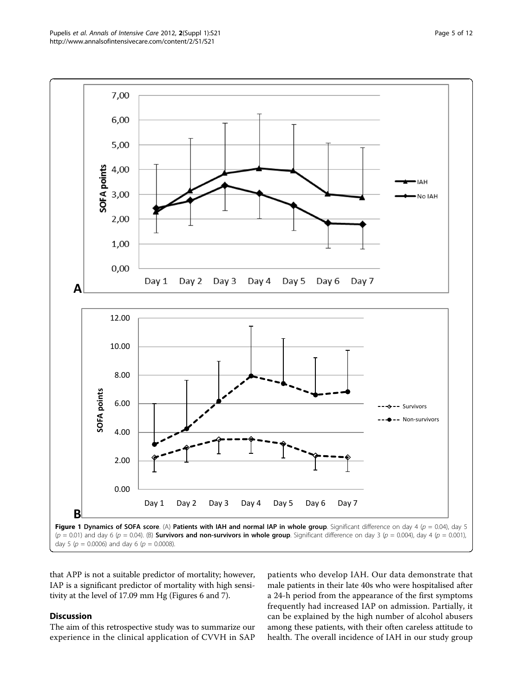<span id="page-4-0"></span>

that APP is not a suitable predictor of mortality; however, IAP is a significant predictor of mortality with high sensitivity at the level of 17.09 mm Hg (Figures [6](#page-9-0) and [7](#page-10-0)).

#### Discussion

The aim of this retrospective study was to summarize our experience in the clinical application of CVVH in SAP patients who develop IAH. Our data demonstrate that male patients in their late 40s who were hospitalised after a 24-h period from the appearance of the first symptoms frequently had increased IAP on admission. Partially, it can be explained by the high number of alcohol abusers among these patients, with their often careless attitude to health. The overall incidence of IAH in our study group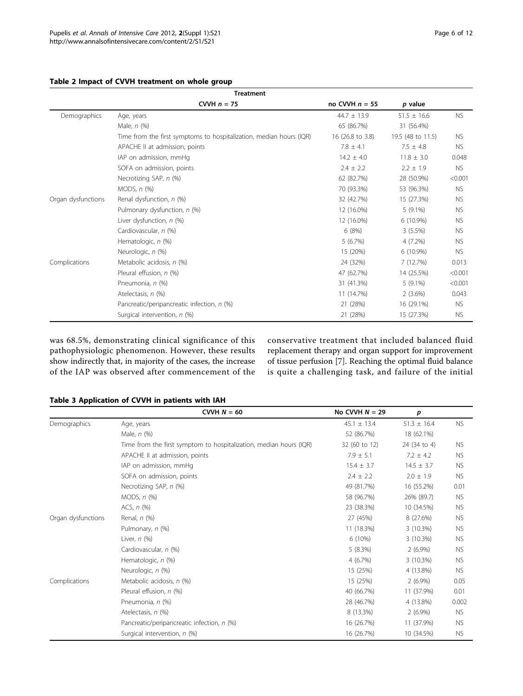#### <span id="page-5-0"></span>Table 2 Impact of CVVH treatment on whole group

| <b>Treatment</b>   |                                                                     |                  |                   |           |
|--------------------|---------------------------------------------------------------------|------------------|-------------------|-----------|
|                    | CVVH $n = 75$                                                       | no CVVH $n = 55$ | p value           |           |
| Demographics       | Age, years                                                          | $44.7 \pm 13.9$  | $51.5 \pm 16.6$   | <b>NS</b> |
|                    | Male, $n$ $(\%)$                                                    | 65 (86.7%)       | 31 (56.4%)        |           |
|                    | Time from the first symptoms to hospitalization, median hours (IQR) | 16 (26.8 to 3.8) | 19.5 (48 to 11.5) | <b>NS</b> |
|                    | APACHE II at admission, points                                      | $7.8 \pm 4.1$    | $7.5 \pm 4.8$     | <b>NS</b> |
|                    | IAP on admission, mmHg                                              | $14.2 \pm 4.0$   | $11.8 \pm 3.0$    | 0.048     |
|                    | SOFA on admission, points                                           | $2.4 \pm 2.2$    | $2.2 \pm 1.9$     | <b>NS</b> |
|                    | Necrotizing SAP, n (%)                                              | 62 (82.7%)       | 28 (50.9%)        | < 0.001   |
|                    | MODS, $n$ $(\%)$                                                    | 70 (93.3%)       | 53 (96.3%)        | <b>NS</b> |
| Organ dysfunctions | Renal dysfunction, n (%)                                            | 32 (42.7%)       | 15 (27.3%)        | <b>NS</b> |
|                    | Pulmonary dysfunction, n (%)                                        | 12 (16.0%)       | $5(9.1\%)$        | <b>NS</b> |
|                    | Liver dysfunction, n (%)                                            | 12 (16.0%)       | 6 (10.9%)         | <b>NS</b> |
|                    | Cardiovascular, n (%)                                               | 6(8%)            | $3(5.5\%)$        | <b>NS</b> |
|                    | Hematologic, n (%)                                                  | 5(6.7%)          | $4(7.2\%)$        | <b>NS</b> |
|                    | Neurologic, n (%)                                                   | 15 (20%)         | $6(10.9\%)$       | <b>NS</b> |
| Complications      | Metabolic acidosis, n (%)                                           | 24 (32%)         | 7(12.7%)          | 0.013     |
|                    | Pleural effusion, n (%)                                             | 47 (62.7%)       | 14 (25.5%)        | < 0.001   |
|                    | Pneumonia, n (%)                                                    | 31 (41.3%)       | $5(9.1\%)$        | < 0.001   |
|                    | Atelectasis, n (%)                                                  | 11 (14.7%)       | $2(3.6\%)$        | 0.043     |
|                    | Pancreatic/peripancreatic infection, n (%)                          | 21 (28%)         | 16 (29.1%)        | <b>NS</b> |
|                    | Surgical intervention, n (%)                                        | 21 (28%)         | 15 (27.3%)        | <b>NS</b> |

was 68.5%, demonstrating clinical significance of this pathophysiologic phenomenon. However, these results show indirectly that, in majority of the cases, the increase of the IAP was observed after commencement of the conservative treatment that included balanced fluid replacement therapy and organ support for improvement of tissue perfusion [\[7\]](#page-11-0). Reaching the optimal fluid balance is quite a challenging task, and failure of the initial

|                    | CVVH $N = 60$                                                      | No CVVH $N = 29$ | р               |           |
|--------------------|--------------------------------------------------------------------|------------------|-----------------|-----------|
| Demographics       | Age, years                                                         | $45.1 \pm 13.4$  | $51.3 \pm 16.4$ | NS.       |
|                    | Male, $n$ $(\%)$                                                   | 52 (86.7%)       | 18 (62.1%)      |           |
|                    | Time from the first symptom to hospitalization, median hours (IQR) | 32 (60 to 12)    | 24 (34 to 4)    | NS.       |
|                    | APACHE II at admission, points                                     | $7.9 \pm 5.1$    | $7.2 \pm 4.2$   | <b>NS</b> |
|                    | IAP on admission, mmHg                                             | $15.4 \pm 3.7$   | $14.5 \pm 3.7$  | NS.       |
|                    | SOFA on admission, points                                          | $2.4 \pm 2.2$    | $2.0 \pm 1.9$   | NS.       |
|                    | Necrotizing SAP, n (%)                                             | 49 (81.7%)       | 16 (55.2%)      | 0.01      |
|                    | MODS, $n$ $(\%)$                                                   | 58 (96.7%)       | 26% (89.7)      | <b>NS</b> |
|                    | ACS, $n$ $(\%)$                                                    | 23 (38.3%)       | 10 (34.5%)      | <b>NS</b> |
| Organ dysfunctions | Renal, $n$ $(\%)$                                                  | 27 (45%)         | 8 (27.6%)       | <b>NS</b> |
|                    | Pulmonary, n (%)                                                   | 11 (18.3%)       | 3 (10.3%)       | NS.       |
|                    | Liver, $n$ $(\%)$                                                  | 6 (10%)          | 3 (10.3%)       | NS.       |
|                    | Cardiovascular, n (%)                                              | 5(8.3%)          | $2(6.9\%)$      | <b>NS</b> |
|                    | Hematologic, n (%)                                                 | 4(6.7%)          | 3 (10.3%)       | <b>NS</b> |
|                    | Neurologic, n (%)                                                  | 15 (25%)         | 4 (13.8%)       | NS.       |
| Complications      | Metabolic acidosis, n (%)                                          | 15 (25%)         | $2(6.9\%)$      | 0.05      |
|                    | Pleural effusion, n (%)                                            | 40 (66.7%)       | 11 (37.9%)      | 0.01      |
|                    | Pneumonia, n (%)                                                   | 28 (46.7%)       | 4 (13.8%)       | 0.002     |
|                    | Atelectasis, n (%)                                                 | 8 (13.3%)        | $2(6.9\%)$      | NS.       |
|                    | Pancreatic/peripancreatic infection, n (%)                         | 16 (26.7%)       | 11 (37.9%)      | NS.       |
|                    | Surgical intervention, n (%)                                       | 16 (26.7%)       | 10 (34.5%)      | <b>NS</b> |

#### Table 3 Application of CVVH in patients with IAH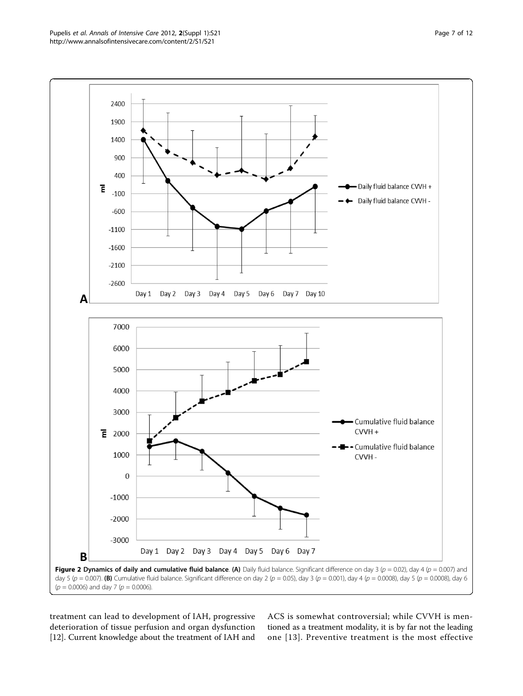<span id="page-6-0"></span>

treatment can lead to development of IAH, progressive deterioration of tissue perfusion and organ dysfunction [[12\]](#page-11-0). Current knowledge about the treatment of IAH and ACS is somewhat controversial; while CVVH is mentioned as a treatment modality, it is by far not the leading one [[13\]](#page-11-0). Preventive treatment is the most effective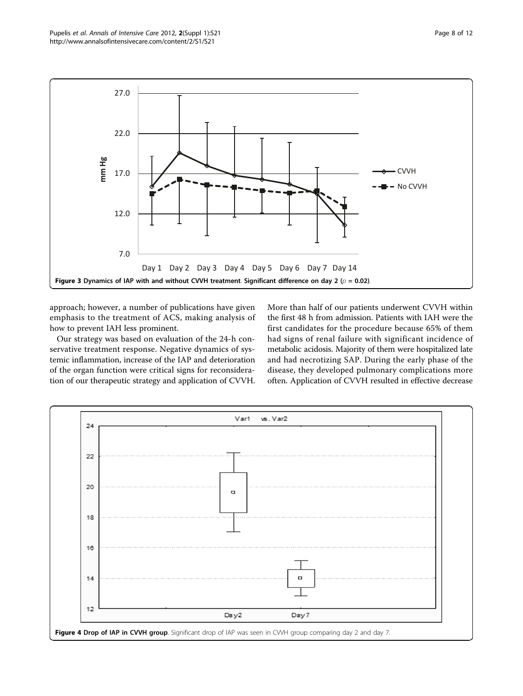<span id="page-7-0"></span>

approach; however, a number of publications have given emphasis to the treatment of ACS, making analysis of how to prevent IAH less prominent.

Our strategy was based on evaluation of the 24-h conservative treatment response. Negative dynamics of systemic inflammation, increase of the IAP and deterioration of the organ function were critical signs for reconsideration of our therapeutic strategy and application of CVVH. More than half of our patients underwent CVVH within the first 48 h from admission. Patients with IAH were the first candidates for the procedure because 65% of them had signs of renal failure with significant incidence of metabolic acidosis. Majority of them were hospitalized late and had necrotizing SAP. During the early phase of the disease, they developed pulmonary complications more often. Application of CVVH resulted in effective decrease

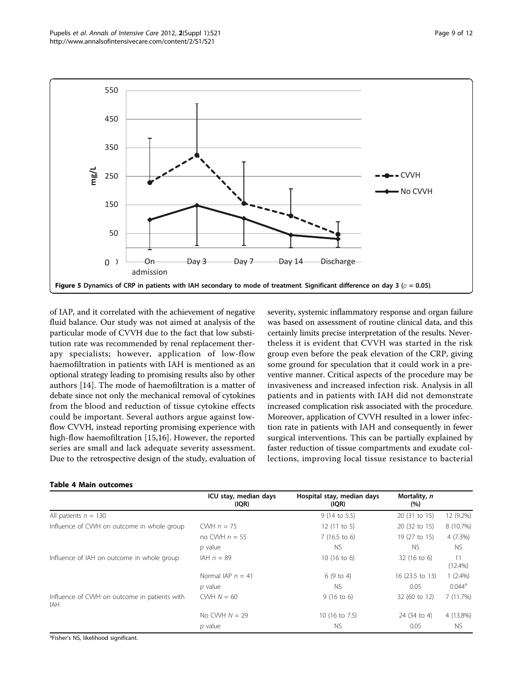<span id="page-8-0"></span>

of IAP, and it correlated with the achievement of negative fluid balance. Our study was not aimed at analysis of the particular mode of CVVH due to the fact that low substitution rate was recommended by renal replacement therapy specialists; however, application of low-flow haemofiltration in patients with IAH is mentioned as an optional strategy leading to promising results also by other authors [[14\]](#page-11-0). The mode of haemofiltration is a matter of debate since not only the mechanical removal of cytokines from the blood and reduction of tissue cytokine effects could be important. Several authors argue against lowflow CVVH, instead reporting promising experience with high-flow haemofiltration [[15,16\]](#page-11-0). However, the reported series are small and lack adequate severity assessment. Due to the retrospective design of the study, evaluation of

# Table 4 Main outcomes

severity, systemic inflammatory response and organ failure was based on assessment of routine clinical data, and this certainly limits precise interpretation of the results. Nevertheless it is evident that CVVH was started in the risk group even before the peak elevation of the CRP, giving some ground for speculation that it could work in a preventive manner. Critical aspects of the procedure may be invasiveness and increased infection risk. Analysis in all patients and in patients with IAH did not demonstrate increased complication risk associated with the procedure. Moreover, application of CVVH resulted in a lower infection rate in patients with IAH and consequently in fewer surgical interventions. This can be partially explained by faster reduction of tissue compartments and exudate collections, improving local tissue resistance to bacterial

|                                                            | ICU stay, median days<br>(IQR) | Hospital stay, median days<br>(IQR) | Mortality, n<br>(%) |                  |
|------------------------------------------------------------|--------------------------------|-------------------------------------|---------------------|------------------|
| All patients $n = 130$                                     |                                | $9(14 \text{ to } 5.5)$             | 20 (31 to 15)       | 12 (9.2%)        |
| Influence of CWH on outcome in whole group                 | CWH $n = 75$                   | $12(11 \text{ to } 5)$              | 20 (32 to 15)       | 8 (10.7%)        |
|                                                            | no CWH $n = 55$                | $7(16.5 \text{ to } 6)$             | 19 (27 to 15)       | $4(7.3\%)$       |
|                                                            | $p$ value                      | <b>NS</b>                           | NS.                 | <b>NS</b>        |
| Influence of IAH on outcome in whole group                 | $IAH n = 89$                   | 10 (16 to 6)                        | 32 (16 to 6)        | 11<br>$(12.4\%)$ |
|                                                            | Normal IAP $n = 41$            | 6(9 to 4)                           | 16 (23.5 to 13)     | $1(2.4\%)$       |
|                                                            | $p$ value                      | <b>NS</b>                           | 0.05                | $0.044^{\circ}$  |
| Influence of CWH on outcome in patients with<br><b>IAH</b> | CWH $N = 60$                   | $9(16 \text{ to } 6)$               | 32 (60 to 12)       | 7(11.7%)         |
|                                                            | No CWH $N = 29$                | 10 (16 to 7.5)                      | 24 (34 to 4)        | 4 (13.8%)        |
|                                                            | $p$ value                      | <b>NS</b>                           | 0.05                | <b>NS</b>        |

<sup>a</sup>Fisher's NS, likelihood significant.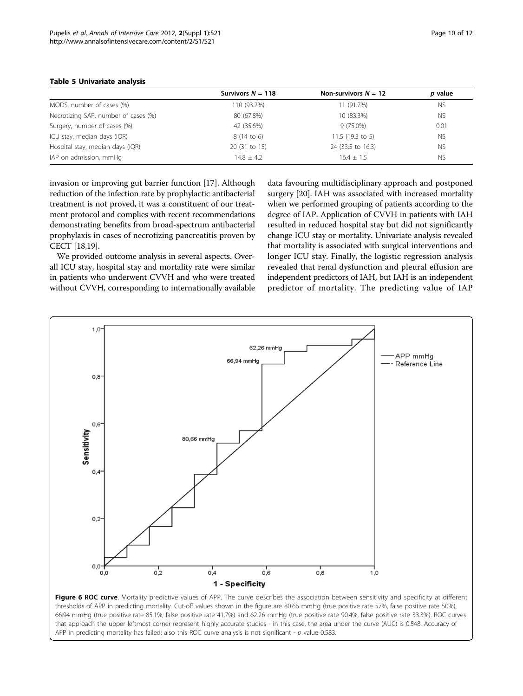<span id="page-9-0"></span>

|                                      | Survivors $N = 118$ | Non-survivors $N = 12$ | p value   |
|--------------------------------------|---------------------|------------------------|-----------|
| MODS, number of cases (%)            | 110 (93.2%)         | 11 (91.7%)             | NS.       |
| Necrotizing SAP, number of cases (%) | 80 (67.8%)          | 10 (83.3%)             | <b>NS</b> |
| Surgery, number of cases (%)         | 42 (35.6%)          | $9(75.0\%)$            | 0.01      |
| ICU stay, median days (IQR)          | 8 (14 to 6)         | 11.5 (19.3 to 5)       | NS.       |
| Hospital stay, median days (IQR)     | 20 (31 to 15)       | 24 (33.5 to 16.3)      | NS.       |
| IAP on admission, mmHq               | $14.8 + 4.2$        | $16.4 + 1.5$           | <b>NS</b> |

invasion or improving gut barrier function [[17](#page-11-0)]. Although reduction of the infection rate by prophylactic antibacterial treatment is not proved, it was a constituent of our treatment protocol and complies with recent recommendations demonstrating benefits from broad-spectrum antibacterial prophylaxis in cases of necrotizing pancreatitis proven by CECT [\[18,19](#page-11-0)].

We provided outcome analysis in several aspects. Overall ICU stay, hospital stay and mortality rate were similar in patients who underwent CVVH and who were treated without CVVH, corresponding to internationally available

data favouring multidisciplinary approach and postponed surgery [\[20](#page-11-0)]. IAH was associated with increased mortality when we performed grouping of patients according to the degree of IAP. Application of CVVH in patients with IAH resulted in reduced hospital stay but did not significantly change ICU stay or mortality. Univariate analysis revealed that mortality is associated with surgical interventions and longer ICU stay. Finally, the logistic regression analysis revealed that renal dysfunction and pleural effusion are independent predictors of IAH, but IAH is an independent predictor of mortality. The predicting value of IAP



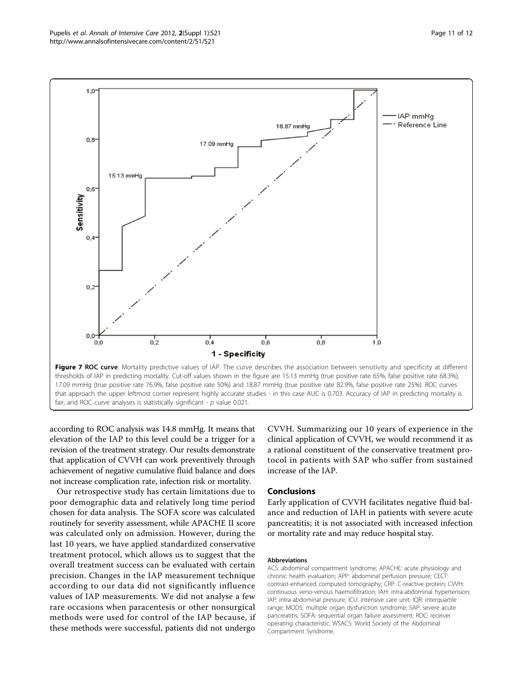<span id="page-10-0"></span>

according to ROC analysis was 14.8 mmHg. It means that elevation of the IAP to this level could be a trigger for a revision of the treatment strategy. Our results demonstrate that application of CVVH can work preventively through achievement of negative cumulative fluid balance and does not increase complication rate, infection risk or mortality.

Our retrospective study has certain limitations due to poor demographic data and relatively long time period chosen for data analysis. The SOFA score was calculated routinely for severity assessment, while APACHE II score was calculated only on admission. However, during the last 10 years, we have applied standardized conservative treatment protocol, which allows us to suggest that the overall treatment success can be evaluated with certain precision. Changes in the IAP measurement technique according to our data did not significantly influence values of IAP measurements. We did not analyse a few rare occasions when paracentesis or other nonsurgical methods were used for control of the IAP because, if these methods were successful, patients did not undergo

CVVH. Summarizing our 10 years of experience in the clinical application of CVVH, we would recommend it as a rational constituent of the conservative treatment protocol in patients with SAP who suffer from sustained increase of the IAP.

#### Conclusions

Early application of CVVH facilitates negative fluid balance and reduction of IAH in patients with severe acute pancreatitis; it is not associated with increased infection or mortality rate and may reduce hospital stay.

#### Abbreviations

ACS: abdominal compartment syndrome; APACHE: acute physiology and chronic health evaluation; APP: abdominal perfusion pressure; CECT: contrast-enhanced computed tomography; CRP: C-reactive protein; CVVH: continuous veno-venous haemofiltration; IAH: intra-abdominal hypertension; IAP: intra-abdominal pressure; ICU: intensive care unit; IQR: interquartile range; MODS: multiple organ dysfunction syndrome; SAP: severe acute pancreatitis; SOFA: sequential organ failure assessment; ROC: receiver operating characteristic; WSACS: World Society of the Abdominal Compartment Syndrome.